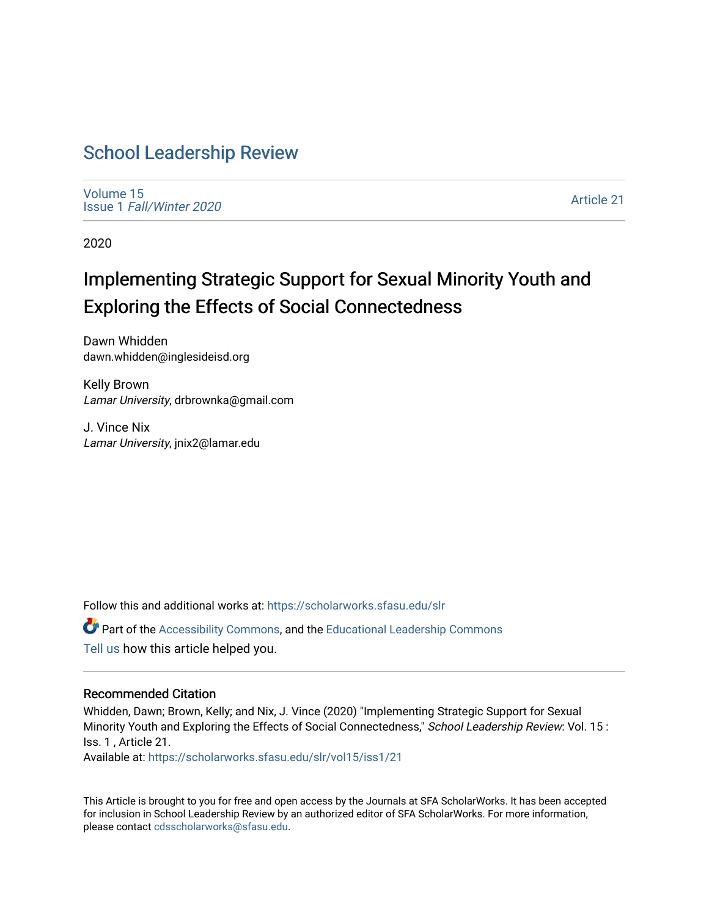## [School Leadership Review](https://scholarworks.sfasu.edu/slr)

[Volume 15](https://scholarworks.sfasu.edu/slr/vol15) Issue 1 [Fall/Winter 2020](https://scholarworks.sfasu.edu/slr/vol15/iss1) 

[Article 21](https://scholarworks.sfasu.edu/slr/vol15/iss1/21) 

2020

# Implementing Strategic Support for Sexual Minority Youth and Exploring the Effects of Social Connectedness

Dawn Whidden dawn.whidden@inglesideisd.org

Kelly Brown Lamar University, drbrownka@gmail.com

J. Vince Nix Lamar University, jnix2@lamar.edu

Follow this and additional works at: [https://scholarworks.sfasu.edu/slr](https://scholarworks.sfasu.edu/slr?utm_source=scholarworks.sfasu.edu%2Fslr%2Fvol15%2Fiss1%2F21&utm_medium=PDF&utm_campaign=PDFCoverPages) 

Part of the [Accessibility Commons,](http://network.bepress.com/hgg/discipline/1318?utm_source=scholarworks.sfasu.edu%2Fslr%2Fvol15%2Fiss1%2F21&utm_medium=PDF&utm_campaign=PDFCoverPages) and the [Educational Leadership Commons](http://network.bepress.com/hgg/discipline/1230?utm_source=scholarworks.sfasu.edu%2Fslr%2Fvol15%2Fiss1%2F21&utm_medium=PDF&utm_campaign=PDFCoverPages) [Tell us](http://sfasu.qualtrics.com/SE/?SID=SV_0qS6tdXftDLradv) how this article helped you.

#### Recommended Citation

Whidden, Dawn; Brown, Kelly; and Nix, J. Vince (2020) "Implementing Strategic Support for Sexual Minority Youth and Exploring the Effects of Social Connectedness," School Leadership Review: Vol. 15 : Iss. 1 , Article 21.

Available at: [https://scholarworks.sfasu.edu/slr/vol15/iss1/21](https://scholarworks.sfasu.edu/slr/vol15/iss1/21?utm_source=scholarworks.sfasu.edu%2Fslr%2Fvol15%2Fiss1%2F21&utm_medium=PDF&utm_campaign=PDFCoverPages) 

This Article is brought to you for free and open access by the Journals at SFA ScholarWorks. It has been accepted for inclusion in School Leadership Review by an authorized editor of SFA ScholarWorks. For more information, please contact [cdsscholarworks@sfasu.edu.](mailto:cdsscholarworks@sfasu.edu)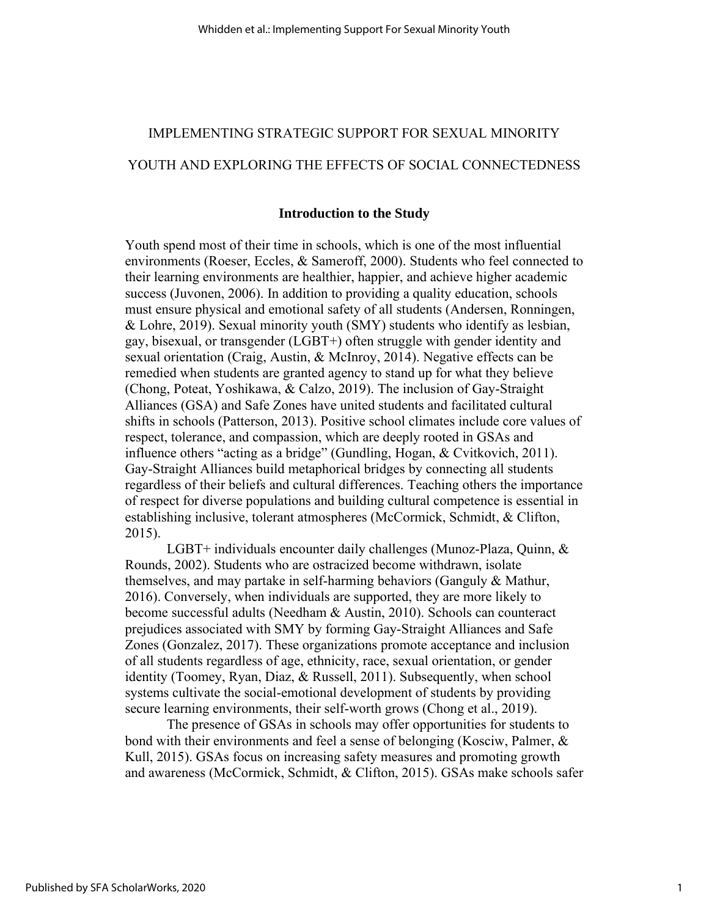## IMPLEMENTING STRATEGIC SUPPORT FOR SEXUAL MINORITY

## YOUTH AND EXPLORING THE EFFECTS OF SOCIAL CONNECTEDNESS

#### **Introduction to the Study**

Youth spend most of their time in schools, which is one of the most influential environments (Roeser, Eccles, & Sameroff, 2000). Students who feel connected to their learning environments are healthier, happier, and achieve higher academic success (Juvonen, 2006). In addition to providing a quality education, schools must ensure physical and emotional safety of all students (Andersen, Ronningen, & Lohre, 2019). Sexual minority youth (SMY) students who identify as lesbian, gay, bisexual, or transgender (LGBT+) often struggle with gender identity and sexual orientation (Craig, Austin, & McInroy, 2014). Negative effects can be remedied when students are granted agency to stand up for what they believe (Chong, Poteat, Yoshikawa, & Calzo, 2019). The inclusion of Gay-Straight Alliances (GSA) and Safe Zones have united students and facilitated cultural shifts in schools (Patterson, 2013). Positive school climates include core values of respect, tolerance, and compassion, which are deeply rooted in GSAs and influence others "acting as a bridge" (Gundling, Hogan, & Cvitkovich, 2011). Gay-Straight Alliances build metaphorical bridges by connecting all students regardless of their beliefs and cultural differences. Teaching others the importance of respect for diverse populations and building cultural competence is essential in establishing inclusive, tolerant atmospheres (McCormick, Schmidt, & Clifton, 2015).

LGBT+ individuals encounter daily challenges (Munoz-Plaza, Quinn, & Rounds, 2002). Students who are ostracized become withdrawn, isolate themselves, and may partake in self-harming behaviors (Ganguly & Mathur, 2016). Conversely, when individuals are supported, they are more likely to become successful adults (Needham & Austin, 2010). Schools can counteract prejudices associated with SMY by forming Gay-Straight Alliances and Safe Zones (Gonzalez, 2017). These organizations promote acceptance and inclusion of all students regardless of age, ethnicity, race, sexual orientation, or gender identity (Toomey, Ryan, Diaz, & Russell, 2011). Subsequently, when school systems cultivate the social-emotional development of students by providing secure learning environments, their self-worth grows (Chong et al., 2019).

The presence of GSAs in schools may offer opportunities for students to bond with their environments and feel a sense of belonging (Kosciw, Palmer, & Kull, 2015). GSAs focus on increasing safety measures and promoting growth and awareness (McCormick, Schmidt, & Clifton, 2015). GSAs make schools safer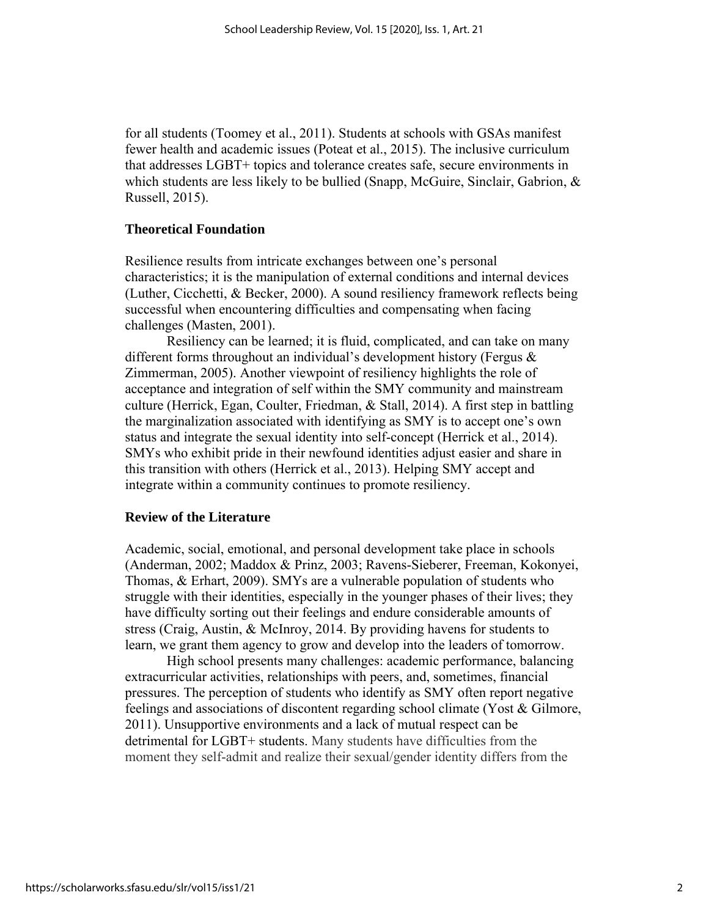for all students (Toomey et al., 2011). Students at schools with GSAs manifest fewer health and academic issues (Poteat et al., 2015). The inclusive curriculum that addresses LGBT+ topics and tolerance creates safe, secure environments in which students are less likely to be bullied (Snapp, McGuire, Sinclair, Gabrion, & Russell, 2015).

#### **Theoretical Foundation**

Resilience results from intricate exchanges between one's personal characteristics; it is the manipulation of external conditions and internal devices (Luther, Cicchetti, & Becker, 2000). A sound resiliency framework reflects being successful when encountering difficulties and compensating when facing challenges (Masten, 2001).

Resiliency can be learned; it is fluid, complicated, and can take on many different forms throughout an individual's development history (Fergus & Zimmerman, 2005). Another viewpoint of resiliency highlights the role of acceptance and integration of self within the SMY community and mainstream culture (Herrick, Egan, Coulter, Friedman, & Stall, 2014). A first step in battling the marginalization associated with identifying as SMY is to accept one's own status and integrate the sexual identity into self-concept (Herrick et al., 2014). SMYs who exhibit pride in their newfound identities adjust easier and share in this transition with others (Herrick et al., 2013). Helping SMY accept and integrate within a community continues to promote resiliency.

#### **Review of the Literature**

Academic, social, emotional, and personal development take place in schools (Anderman, 2002; Maddox & Prinz, 2003; Ravens-Sieberer, Freeman, Kokonyei, Thomas, & Erhart, 2009). SMYs are a vulnerable population of students who struggle with their identities, especially in the younger phases of their lives; they have difficulty sorting out their feelings and endure considerable amounts of stress (Craig, Austin, & McInroy, 2014. By providing havens for students to learn, we grant them agency to grow and develop into the leaders of tomorrow.

High school presents many challenges: academic performance, balancing extracurricular activities, relationships with peers, and, sometimes, financial pressures. The perception of students who identify as SMY often report negative feelings and associations of discontent regarding school climate (Yost & Gilmore, 2011). Unsupportive environments and a lack of mutual respect can be detrimental for LGBT+ students. Many students have difficulties from the moment they self-admit and realize their sexual/gender identity differs from the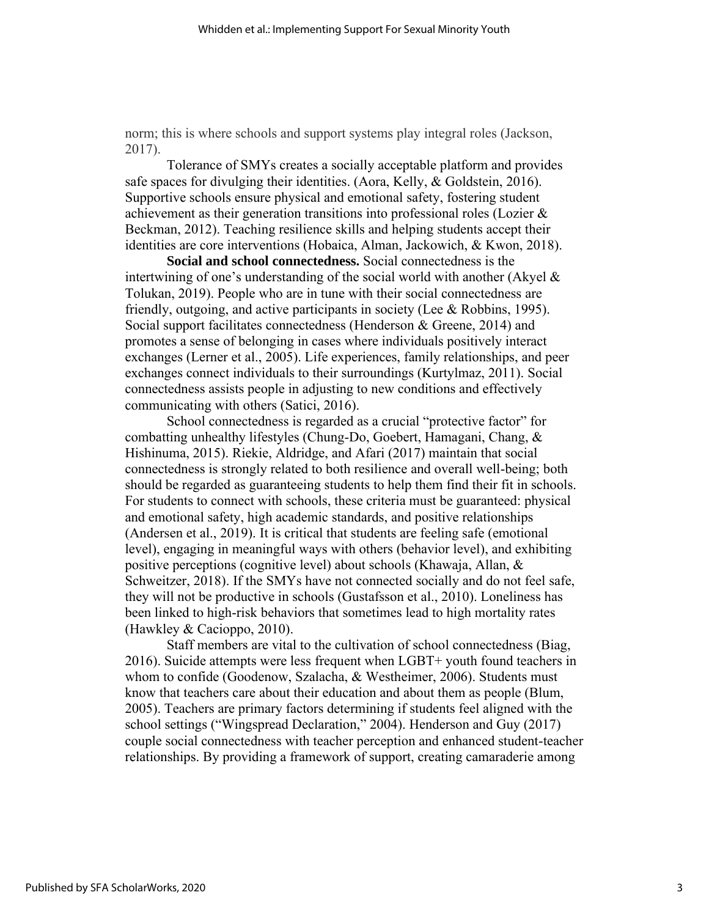norm; this is where schools and support systems play integral roles (Jackson, 2017).

Tolerance of SMYs creates a socially acceptable platform and provides safe spaces for divulging their identities. (Aora, Kelly, & Goldstein, 2016). Supportive schools ensure physical and emotional safety, fostering student achievement as their generation transitions into professional roles (Lozier & Beckman, 2012). Teaching resilience skills and helping students accept their identities are core interventions (Hobaica, Alman, Jackowich, & Kwon, 2018).

**Social and school connectedness.** Social connectedness is the intertwining of one's understanding of the social world with another (Akyel & Tolukan, 2019). People who are in tune with their social connectedness are friendly, outgoing, and active participants in society (Lee & Robbins, 1995). Social support facilitates connectedness (Henderson & Greene, 2014) and promotes a sense of belonging in cases where individuals positively interact exchanges (Lerner et al., 2005). Life experiences, family relationships, and peer exchanges connect individuals to their surroundings (Kurtylmaz, 2011). Social connectedness assists people in adjusting to new conditions and effectively communicating with others (Satici, 2016).

School connectedness is regarded as a crucial "protective factor" for combatting unhealthy lifestyles (Chung-Do, Goebert, Hamagani, Chang, & Hishinuma, 2015). Riekie, Aldridge, and Afari (2017) maintain that social connectedness is strongly related to both resilience and overall well-being; both should be regarded as guaranteeing students to help them find their fit in schools. For students to connect with schools, these criteria must be guaranteed: physical and emotional safety, high academic standards, and positive relationships (Andersen et al., 2019). It is critical that students are feeling safe (emotional level), engaging in meaningful ways with others (behavior level), and exhibiting positive perceptions (cognitive level) about schools (Khawaja, Allan, & Schweitzer, 2018). If the SMYs have not connected socially and do not feel safe, they will not be productive in schools (Gustafsson et al., 2010). Loneliness has been linked to high-risk behaviors that sometimes lead to high mortality rates (Hawkley & Cacioppo, 2010).

Staff members are vital to the cultivation of school connectedness (Biag, 2016). Suicide attempts were less frequent when LGBT+ youth found teachers in whom to confide (Goodenow, Szalacha, & Westheimer, 2006). Students must know that teachers care about their education and about them as people (Blum, 2005). Teachers are primary factors determining if students feel aligned with the school settings ("Wingspread Declaration," 2004). Henderson and Guy (2017) couple social connectedness with teacher perception and enhanced student-teacher relationships. By providing a framework of support, creating camaraderie among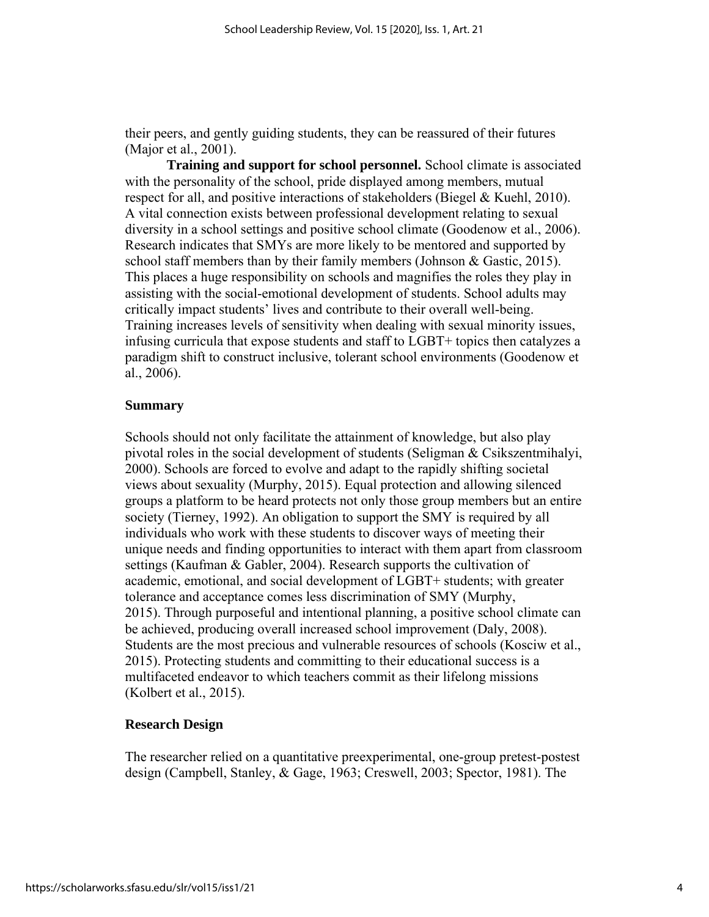their peers, and gently guiding students, they can be reassured of their futures (Major et al., 2001).

**Training and support for school personnel.** School climate is associated with the personality of the school, pride displayed among members, mutual respect for all, and positive interactions of stakeholders (Biegel & Kuehl, 2010). A vital connection exists between professional development relating to sexual diversity in a school settings and positive school climate (Goodenow et al., 2006). Research indicates that SMYs are more likely to be mentored and supported by school staff members than by their family members (Johnson & Gastic, 2015). This places a huge responsibility on schools and magnifies the roles they play in assisting with the social-emotional development of students. School adults may critically impact students' lives and contribute to their overall well-being. Training increases levels of sensitivity when dealing with sexual minority issues, infusing curricula that expose students and staff to LGBT+ topics then catalyzes a paradigm shift to construct inclusive, tolerant school environments (Goodenow et al., 2006).

#### **Summary**

Schools should not only facilitate the attainment of knowledge, but also play pivotal roles in the social development of students (Seligman & Csikszentmihalyi, 2000). Schools are forced to evolve and adapt to the rapidly shifting societal views about sexuality (Murphy, 2015). Equal protection and allowing silenced groups a platform to be heard protects not only those group members but an entire society (Tierney, 1992). An obligation to support the SMY is required by all individuals who work with these students to discover ways of meeting their unique needs and finding opportunities to interact with them apart from classroom settings (Kaufman & Gabler, 2004). Research supports the cultivation of academic, emotional, and social development of LGBT+ students; with greater tolerance and acceptance comes less discrimination of SMY (Murphy, 2015). Through purposeful and intentional planning, a positive school climate can be achieved, producing overall increased school improvement (Daly, 2008). Students are the most precious and vulnerable resources of schools (Kosciw et al., 2015). Protecting students and committing to their educational success is a multifaceted endeavor to which teachers commit as their lifelong missions (Kolbert et al., 2015).

#### **Research Design**

The researcher relied on a quantitative preexperimental, one-group pretest-postest design (Campbell, Stanley, & Gage, 1963; Creswell, 2003; Spector, 1981). The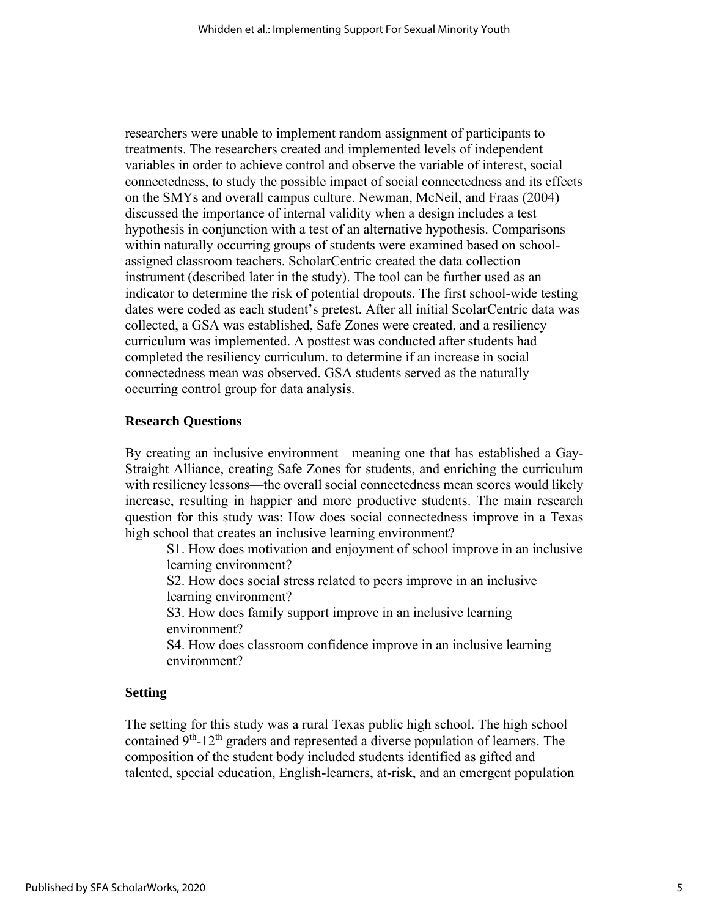researchers were unable to implement random assignment of participants to treatments. The researchers created and implemented levels of independent variables in order to achieve control and observe the variable of interest, social connectedness, to study the possible impact of social connectedness and its effects on the SMYs and overall campus culture. Newman, McNeil, and Fraas (2004) discussed the importance of internal validity when a design includes a test hypothesis in conjunction with a test of an alternative hypothesis. Comparisons within naturally occurring groups of students were examined based on schoolassigned classroom teachers. ScholarCentric created the data collection instrument (described later in the study). The tool can be further used as an indicator to determine the risk of potential dropouts. The first school-wide testing dates were coded as each student's pretest. After all initial ScolarCentric data was collected, a GSA was established, Safe Zones were created, and a resiliency curriculum was implemented. A posttest was conducted after students had completed the resiliency curriculum. to determine if an increase in social connectedness mean was observed. GSA students served as the naturally occurring control group for data analysis.

#### **Research Questions**

By creating an inclusive environment—meaning one that has established a Gay-Straight Alliance, creating Safe Zones for students, and enriching the curriculum with resiliency lessons—the overall social connectedness mean scores would likely increase, resulting in happier and more productive students. The main research question for this study was: How does social connectedness improve in a Texas high school that creates an inclusive learning environment?

S1. How does motivation and enjoyment of school improve in an inclusive learning environment?

S2. How does social stress related to peers improve in an inclusive learning environment?

S3. How does family support improve in an inclusive learning environment?

S4. How does classroom confidence improve in an inclusive learning environment?

#### **Setting**

The setting for this study was a rural Texas public high school. The high school contained 9<sup>th</sup>-12<sup>th</sup> graders and represented a diverse population of learners. The composition of the student body included students identified as gifted and talented, special education, English-learners, at-risk, and an emergent population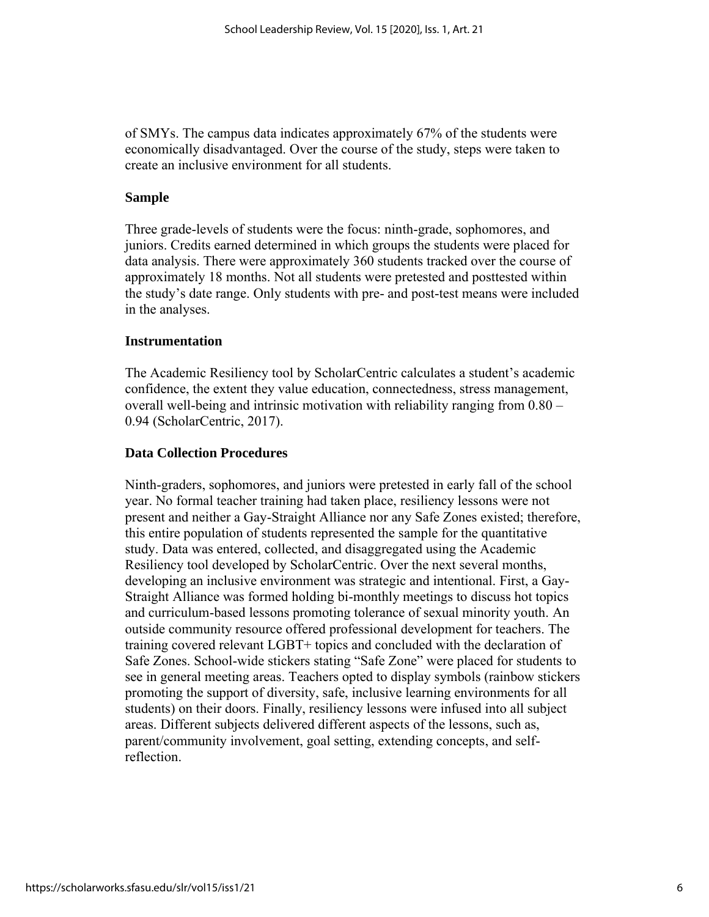of SMYs. The campus data indicates approximately 67% of the students were economically disadvantaged. Over the course of the study, steps were taken to create an inclusive environment for all students.

## **Sample**

Three grade-levels of students were the focus: ninth-grade, sophomores, and juniors. Credits earned determined in which groups the students were placed for data analysis. There were approximately 360 students tracked over the course of approximately 18 months. Not all students were pretested and posttested within the study's date range. Only students with pre- and post-test means were included in the analyses.

## **Instrumentation**

The Academic Resiliency tool by ScholarCentric calculates a student's academic confidence, the extent they value education, connectedness, stress management, overall well-being and intrinsic motivation with reliability ranging from 0.80 – 0.94 (ScholarCentric, 2017).

## **Data Collection Procedures**

Ninth-graders, sophomores, and juniors were pretested in early fall of the school year. No formal teacher training had taken place, resiliency lessons were not present and neither a Gay-Straight Alliance nor any Safe Zones existed; therefore, this entire population of students represented the sample for the quantitative study. Data was entered, collected, and disaggregated using the Academic Resiliency tool developed by ScholarCentric. Over the next several months, developing an inclusive environment was strategic and intentional. First, a Gay-Straight Alliance was formed holding bi-monthly meetings to discuss hot topics and curriculum-based lessons promoting tolerance of sexual minority youth. An outside community resource offered professional development for teachers. The training covered relevant LGBT+ topics and concluded with the declaration of Safe Zones. School-wide stickers stating "Safe Zone" were placed for students to see in general meeting areas. Teachers opted to display symbols (rainbow stickers promoting the support of diversity, safe, inclusive learning environments for all students) on their doors. Finally, resiliency lessons were infused into all subject areas. Different subjects delivered different aspects of the lessons, such as, parent/community involvement, goal setting, extending concepts, and selfreflection.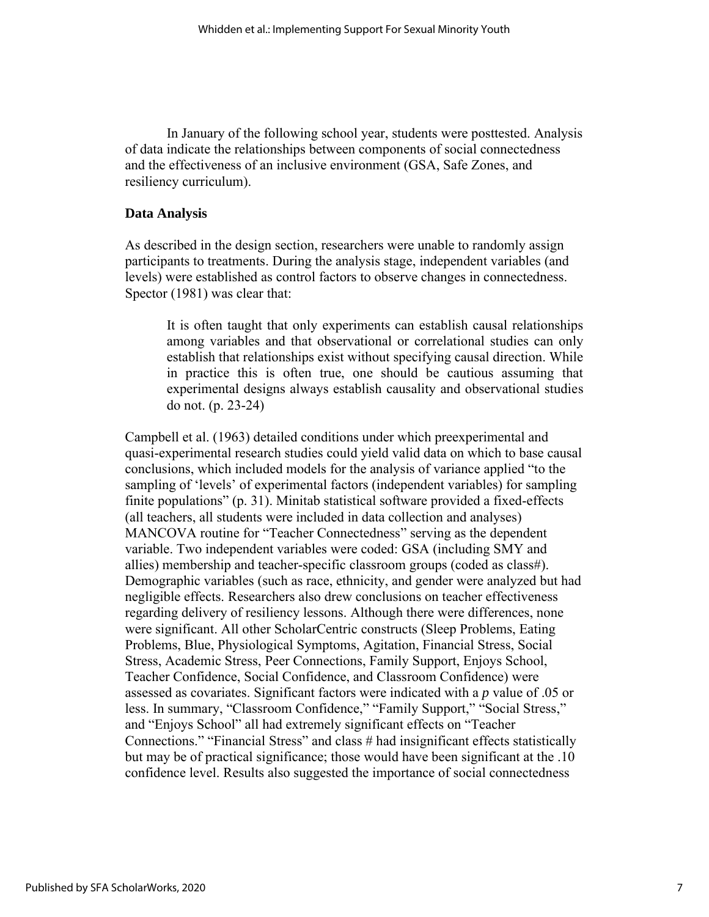In January of the following school year, students were posttested. Analysis of data indicate the relationships between components of social connectedness and the effectiveness of an inclusive environment (GSA, Safe Zones, and resiliency curriculum).

## **Data Analysis**

As described in the design section, researchers were unable to randomly assign participants to treatments. During the analysis stage, independent variables (and levels) were established as control factors to observe changes in connectedness. Spector (1981) was clear that:

It is often taught that only experiments can establish causal relationships among variables and that observational or correlational studies can only establish that relationships exist without specifying causal direction. While in practice this is often true, one should be cautious assuming that experimental designs always establish causality and observational studies do not. (p. 23-24)

Campbell et al. (1963) detailed conditions under which preexperimental and quasi-experimental research studies could yield valid data on which to base causal conclusions, which included models for the analysis of variance applied "to the sampling of 'levels' of experimental factors (independent variables) for sampling finite populations" (p. 31). Minitab statistical software provided a fixed-effects (all teachers, all students were included in data collection and analyses) MANCOVA routine for "Teacher Connectedness" serving as the dependent variable. Two independent variables were coded: GSA (including SMY and allies) membership and teacher-specific classroom groups (coded as class#). Demographic variables (such as race, ethnicity, and gender were analyzed but had negligible effects. Researchers also drew conclusions on teacher effectiveness regarding delivery of resiliency lessons. Although there were differences, none were significant. All other ScholarCentric constructs (Sleep Problems, Eating Problems, Blue, Physiological Symptoms, Agitation, Financial Stress, Social Stress, Academic Stress, Peer Connections, Family Support, Enjoys School, Teacher Confidence, Social Confidence, and Classroom Confidence) were assessed as covariates. Significant factors were indicated with a *p* value of .05 or less. In summary, "Classroom Confidence," "Family Support," "Social Stress," and "Enjoys School" all had extremely significant effects on "Teacher Connections." "Financial Stress" and class # had insignificant effects statistically but may be of practical significance; those would have been significant at the .10 confidence level. Results also suggested the importance of social connectedness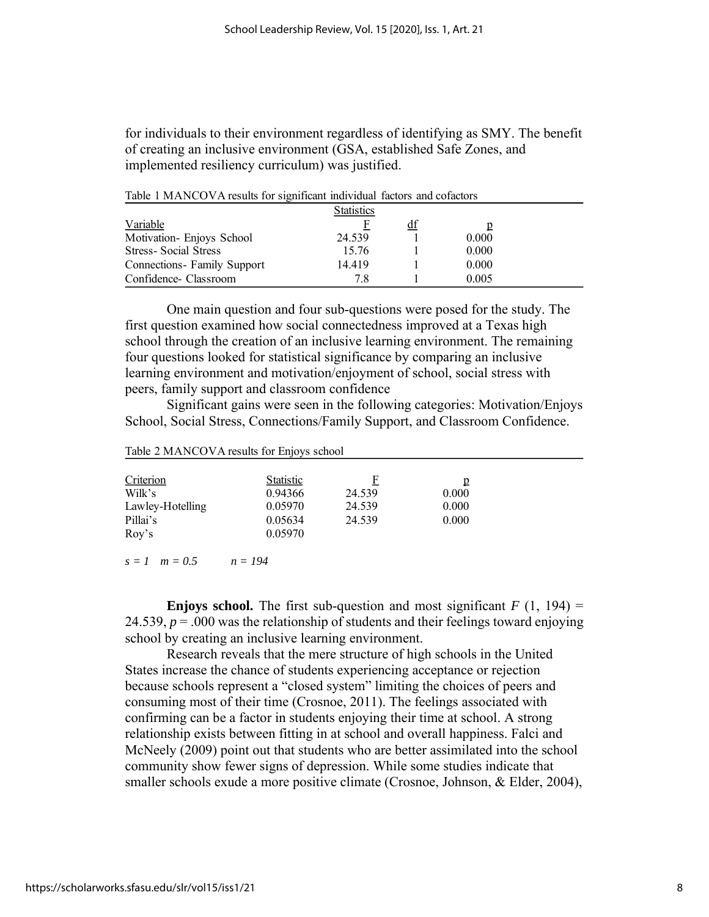for individuals to their environment regardless of identifying as SMY. The benefit of creating an inclusive environment (GSA, established Safe Zones, and implemented resiliency curriculum) was justified.

| TWORE I INTERVED THERMAN TOP DIMILIARILE THAT HARRY THROUGH WITH COMMUNIS |                   |    |       |  |
|---------------------------------------------------------------------------|-------------------|----|-------|--|
|                                                                           | <b>Statistics</b> |    |       |  |
| Variable                                                                  |                   | đÌ |       |  |
| Motivation- Enjoys School                                                 | 24.539            |    | 0.000 |  |
| <b>Stress-Social Stress</b>                                               | 15.76             |    | 0.000 |  |
| Connections - Family Support                                              | 14419             |    | 0.000 |  |
| Confidence- Classroom                                                     | 78                |    | 0.005 |  |

Table 1 MANCOVA results for significant individual factors and cofactors

One main question and four sub-questions were posed for the study. The first question examined how social connectedness improved at a Texas high school through the creation of an inclusive learning environment. The remaining four questions looked for statistical significance by comparing an inclusive learning environment and motivation/enjoyment of school, social stress with peers, family support and classroom confidence

Significant gains were seen in the following categories: Motivation/Enjoys School, Social Stress, Connections/Family Support, and Classroom Confidence.

| Criterion        | <b>Statistic</b> | F      | p     |
|------------------|------------------|--------|-------|
| Wilk's           | 0.94366          | 24.539 | 0.000 |
| Lawley-Hotelling | 0.05970          | 24.539 | 0.000 |
| Pillai's         | 0.05634          | 24.539 | 0.000 |
| Roy's            | 0.05970          |        |       |

Table 2 MANCOVA results for Enjoys school

*s = 1 m = 0.5 n = 194*

**Enjoys school.** The first sub-question and most significant  $F(1, 194) =$ 24.539,  $p = 0.00$  was the relationship of students and their feelings toward enjoying school by creating an inclusive learning environment.

Research reveals that the mere structure of high schools in the United States increase the chance of students experiencing acceptance or rejection because schools represent a "closed system" limiting the choices of peers and consuming most of their time (Crosnoe, 2011). The feelings associated with confirming can be a factor in students enjoying their time at school. A strong relationship exists between fitting in at school and overall happiness. Falci and McNeely (2009) point out that students who are better assimilated into the school community show fewer signs of depression. While some studies indicate that smaller schools exude a more positive climate (Crosnoe, Johnson, & Elder, 2004),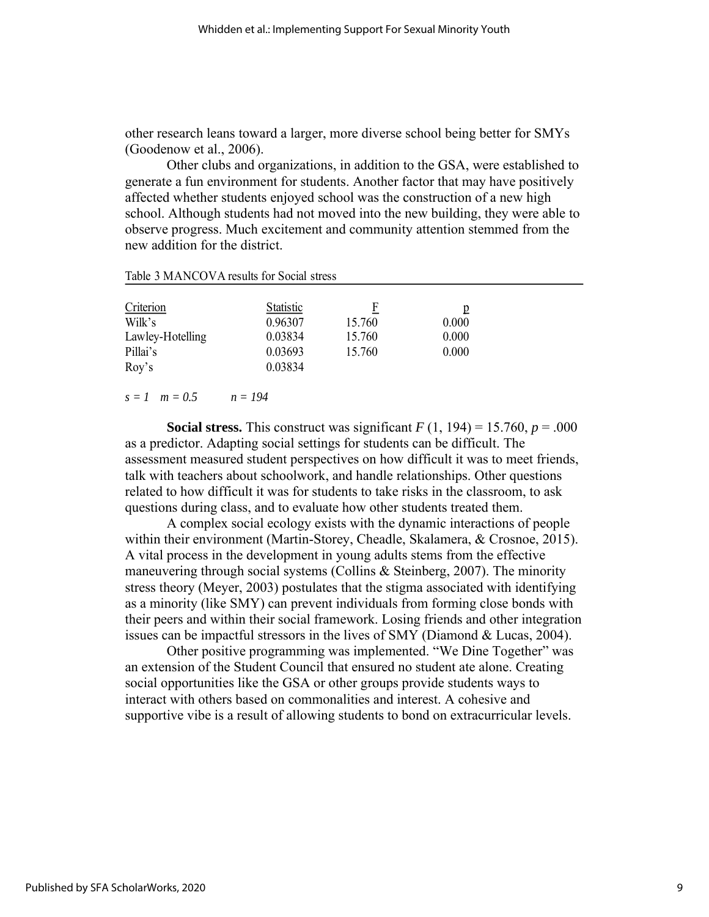other research leans toward a larger, more diverse school being better for SMYs (Goodenow et al., 2006).

Other clubs and organizations, in addition to the GSA, were established to generate a fun environment for students. Another factor that may have positively affected whether students enjoyed school was the construction of a new high school. Although students had not moved into the new building, they were able to observe progress. Much excitement and community attention stemmed from the new addition for the district.

| Table 3 MANCOVA results for Social stress |
|-------------------------------------------|
|-------------------------------------------|

| Criterion<br>Wilk's<br>Lawley-Hotelling<br>Pillai's | Statistic<br>0.96307<br>0.03834<br>0.03693 | F<br>15.760<br>15.760<br>15.760 | 0.000<br>0.000<br>0.000 |
|-----------------------------------------------------|--------------------------------------------|---------------------------------|-------------------------|
| Roy's                                               | 0.03834                                    |                                 |                         |

#### *s = 1 m = 0.5 n = 194*

**Social stress.** This construct was significant  $F(1, 194) = 15.760$ ,  $p = .000$ as a predictor. Adapting social settings for students can be difficult. The assessment measured student perspectives on how difficult it was to meet friends, talk with teachers about schoolwork, and handle relationships. Other questions related to how difficult it was for students to take risks in the classroom, to ask questions during class, and to evaluate how other students treated them.

A complex social ecology exists with the dynamic interactions of people within their environment (Martin-Storey, Cheadle, Skalamera, & Crosnoe, 2015). A vital process in the development in young adults stems from the effective maneuvering through social systems (Collins & Steinberg, 2007). The minority stress theory (Meyer, 2003) postulates that the stigma associated with identifying as a minority (like SMY) can prevent individuals from forming close bonds with their peers and within their social framework. Losing friends and other integration issues can be impactful stressors in the lives of SMY (Diamond & Lucas, 2004).

Other positive programming was implemented. "We Dine Together" was an extension of the Student Council that ensured no student ate alone. Creating social opportunities like the GSA or other groups provide students ways to interact with others based on commonalities and interest. A cohesive and supportive vibe is a result of allowing students to bond on extracurricular levels.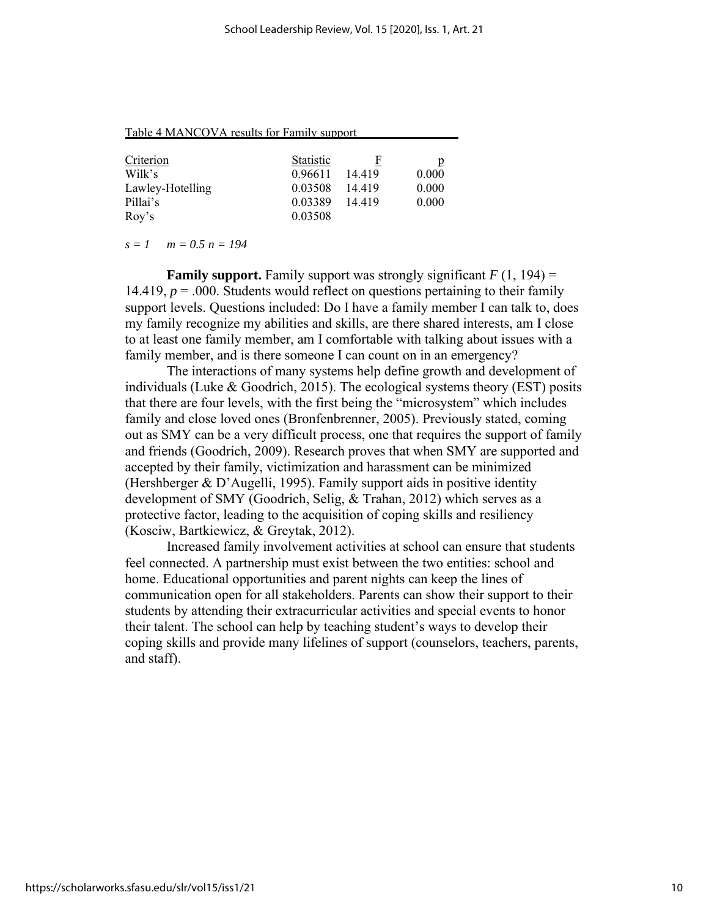Table 4 MANCOVA results for Family support

| <b>Statistic</b> |         | p       |
|------------------|---------|---------|
| 0.96611          |         | 0.000   |
| 0.03508          | 14 4 19 | 0.000   |
| 0.03389          | 14 4 19 | 0.000   |
| 0.03508          |         |         |
|                  |         | 14 4 19 |

*s = 1 m = 0.5 n = 194*

**Family support.** Family support was strongly significant  $F(1, 194) =$ 14.419,  $p = 0.000$ . Students would reflect on questions pertaining to their family support levels. Questions included: Do I have a family member I can talk to, does my family recognize my abilities and skills, are there shared interests, am I close to at least one family member, am I comfortable with talking about issues with a family member, and is there someone I can count on in an emergency?

The interactions of many systems help define growth and development of individuals (Luke  $\&$  Goodrich, 2015). The ecological systems theory (EST) posits that there are four levels, with the first being the "microsystem" which includes family and close loved ones (Bronfenbrenner, 2005). Previously stated, coming out as SMY can be a very difficult process, one that requires the support of family and friends (Goodrich, 2009). Research proves that when SMY are supported and accepted by their family, victimization and harassment can be minimized (Hershberger & D'Augelli, 1995). Family support aids in positive identity development of SMY (Goodrich, Selig, & Trahan, 2012) which serves as a protective factor, leading to the acquisition of coping skills and resiliency (Kosciw, Bartkiewicz, & Greytak, 2012).

Increased family involvement activities at school can ensure that students feel connected. A partnership must exist between the two entities: school and home. Educational opportunities and parent nights can keep the lines of communication open for all stakeholders. Parents can show their support to their students by attending their extracurricular activities and special events to honor their talent. The school can help by teaching student's ways to develop their coping skills and provide many lifelines of support (counselors, teachers, parents, and staff).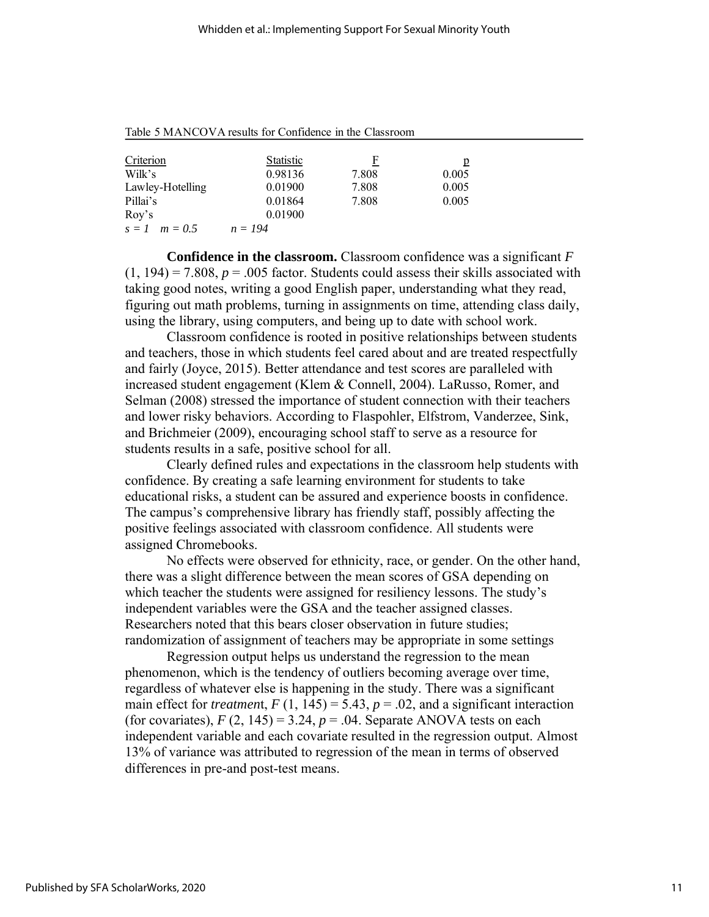| Criterion         | <b>Statistic</b> | F     | p     |
|-------------------|------------------|-------|-------|
| Wilk's            | 0.98136          | 7.808 | 0.005 |
| Lawley-Hotelling  | 0.01900          | 7.808 | 0.005 |
| Pillai's          | 0.01864          | 7.808 | 0.005 |
| Rov's             | 0.01900          |       |       |
| $s = 1$ $m = 0.5$ | $n = 194$        |       |       |

Table 5 MANCOVA results for Confidence in the Classroom

**Confidence in the classroom.** Classroom confidence was a significant *F*  $(1, 194) = 7.808$ ,  $p = .005$  factor. Students could assess their skills associated with taking good notes, writing a good English paper, understanding what they read, figuring out math problems, turning in assignments on time, attending class daily, using the library, using computers, and being up to date with school work.

Classroom confidence is rooted in positive relationships between students and teachers, those in which students feel cared about and are treated respectfully and fairly (Joyce, 2015). Better attendance and test scores are paralleled with increased student engagement (Klem & Connell, 2004). LaRusso, Romer, and Selman (2008) stressed the importance of student connection with their teachers and lower risky behaviors. According to Flaspohler, Elfstrom, Vanderzee, Sink, and Brichmeier (2009), encouraging school staff to serve as a resource for students results in a safe, positive school for all.

Clearly defined rules and expectations in the classroom help students with confidence. By creating a safe learning environment for students to take educational risks, a student can be assured and experience boosts in confidence. The campus's comprehensive library has friendly staff, possibly affecting the positive feelings associated with classroom confidence. All students were assigned Chromebooks.

No effects were observed for ethnicity, race, or gender. On the other hand, there was a slight difference between the mean scores of GSA depending on which teacher the students were assigned for resiliency lessons. The study's independent variables were the GSA and the teacher assigned classes. Researchers noted that this bears closer observation in future studies; randomization of assignment of teachers may be appropriate in some settings

Regression output helps us understand the regression to the mean phenomenon, which is the tendency of outliers becoming average over time, regardless of whatever else is happening in the study. There was a significant main effect for *treatment*,  $F(1, 145) = 5.43$ ,  $p = .02$ , and a significant interaction (for covariates),  $F(2, 145) = 3.24$ ,  $p = .04$ . Separate ANOVA tests on each independent variable and each covariate resulted in the regression output. Almost 13% of variance was attributed to regression of the mean in terms of observed differences in pre-and post-test means.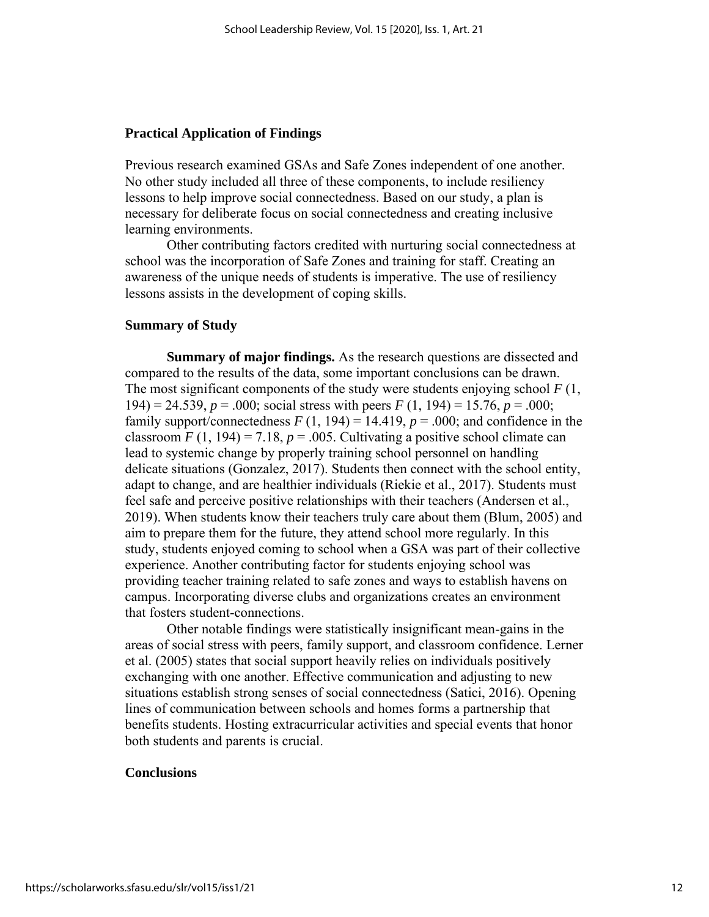#### **Practical Application of Findings**

Previous research examined GSAs and Safe Zones independent of one another. No other study included all three of these components, to include resiliency lessons to help improve social connectedness. Based on our study, a plan is necessary for deliberate focus on social connectedness and creating inclusive learning environments.

Other contributing factors credited with nurturing social connectedness at school was the incorporation of Safe Zones and training for staff. Creating an awareness of the unique needs of students is imperative. The use of resiliency lessons assists in the development of coping skills.

#### **Summary of Study**

**Summary of major findings.** As the research questions are dissected and compared to the results of the data, some important conclusions can be drawn. The most significant components of the study were students enjoying school *F* (1, 194) = 24.539, *p* = .000; social stress with peers *F* (1, 194) = 15.76, *p* = .000; family support/connectedness  $F(1, 194) = 14.419$ ,  $p = .000$ ; and confidence in the classroom  $F(1, 194) = 7.18$ ,  $p = .005$ . Cultivating a positive school climate can lead to systemic change by properly training school personnel on handling delicate situations (Gonzalez, 2017). Students then connect with the school entity, adapt to change, and are healthier individuals (Riekie et al., 2017). Students must feel safe and perceive positive relationships with their teachers (Andersen et al., 2019). When students know their teachers truly care about them (Blum, 2005) and aim to prepare them for the future, they attend school more regularly. In this study, students enjoyed coming to school when a GSA was part of their collective experience. Another contributing factor for students enjoying school was providing teacher training related to safe zones and ways to establish havens on campus. Incorporating diverse clubs and organizations creates an environment that fosters student-connections.

Other notable findings were statistically insignificant mean-gains in the areas of social stress with peers, family support, and classroom confidence. Lerner et al. (2005) states that social support heavily relies on individuals positively exchanging with one another. Effective communication and adjusting to new situations establish strong senses of social connectedness (Satici, 2016). Opening lines of communication between schools and homes forms a partnership that benefits students. Hosting extracurricular activities and special events that honor both students and parents is crucial.

#### **Conclusions**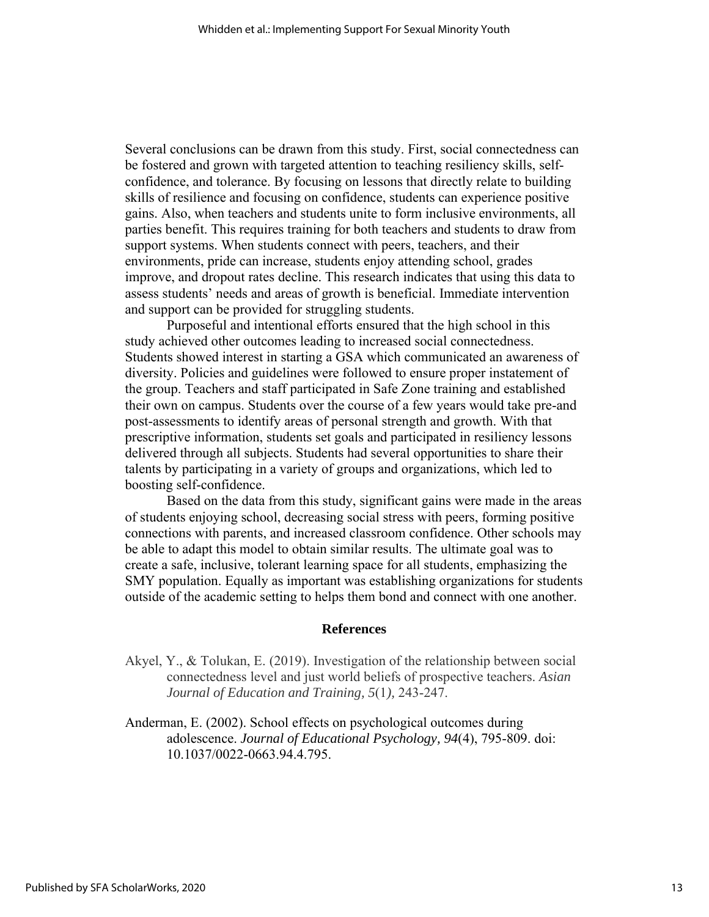Several conclusions can be drawn from this study. First, social connectedness can be fostered and grown with targeted attention to teaching resiliency skills, selfconfidence, and tolerance. By focusing on lessons that directly relate to building skills of resilience and focusing on confidence, students can experience positive gains. Also, when teachers and students unite to form inclusive environments, all parties benefit. This requires training for both teachers and students to draw from support systems. When students connect with peers, teachers, and their environments, pride can increase, students enjoy attending school, grades improve, and dropout rates decline. This research indicates that using this data to assess students' needs and areas of growth is beneficial. Immediate intervention and support can be provided for struggling students.

Purposeful and intentional efforts ensured that the high school in this study achieved other outcomes leading to increased social connectedness. Students showed interest in starting a GSA which communicated an awareness of diversity. Policies and guidelines were followed to ensure proper instatement of the group. Teachers and staff participated in Safe Zone training and established their own on campus. Students over the course of a few years would take pre-and post-assessments to identify areas of personal strength and growth. With that prescriptive information, students set goals and participated in resiliency lessons delivered through all subjects. Students had several opportunities to share their talents by participating in a variety of groups and organizations, which led to boosting self-confidence.

Based on the data from this study, significant gains were made in the areas of students enjoying school, decreasing social stress with peers, forming positive connections with parents, and increased classroom confidence. Other schools may be able to adapt this model to obtain similar results. The ultimate goal was to create a safe, inclusive, tolerant learning space for all students, emphasizing the SMY population. Equally as important was establishing organizations for students outside of the academic setting to helps them bond and connect with one another.

#### **References**

- Akyel, Y., & Tolukan, E. (2019). Investigation of the relationship between social connectedness level and just world beliefs of prospective teachers. *Asian Journal of Education and Training, 5*(1*),* 243-247.
- Anderman, E. (2002). School effects on psychological outcomes during adolescence. *Journal of Educational Psychology, 94*(4), 795-809. doi: 10.1037/0022-0663.94.4.795.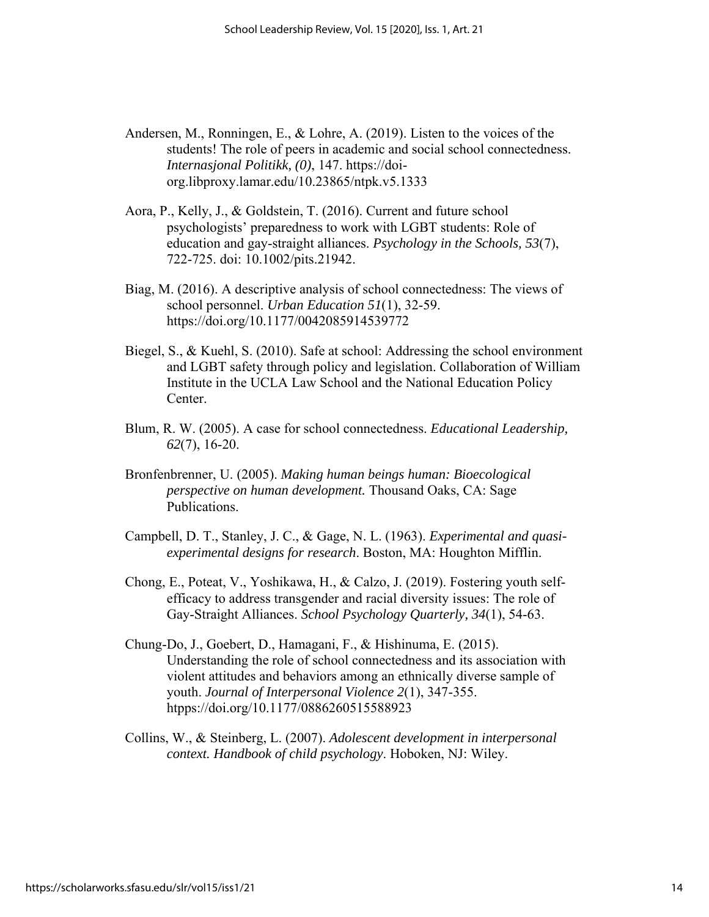- Andersen, M., Ronningen, E., & Lohre, A. (2019). Listen to the voices of the students! The role of peers in academic and social school connectedness. *Internasjonal Politikk, (0)*, 147. https://doiorg.libproxy.lamar.edu/10.23865/ntpk.v5.1333
- Aora, P., Kelly, J., & Goldstein, T. (2016). Current and future school psychologists' preparedness to work with LGBT students: Role of education and gay-straight alliances. *Psychology in the Schools, 53*(7), 722-725. doi: 10.1002/pits.21942.
- Biag, M. (2016). A descriptive analysis of school connectedness: The views of school personnel. *Urban Education 51*(1), 32-59. https://doi.org/10.1177/0042085914539772
- Biegel, S., & Kuehl, S. (2010). Safe at school: Addressing the school environment and LGBT safety through policy and legislation. Collaboration of William Institute in the UCLA Law School and the National Education Policy Center.
- Blum, R. W. (2005). A case for school connectedness. *Educational Leadership, 62*(7), 16-20.
- Bronfenbrenner, U. (2005). *Making human beings human: Bioecological perspective on human development.* Thousand Oaks, CA: Sage Publications.
- Campbell, D. T., Stanley, J. C., & Gage, N. L. (1963). *Experimental and quasiexperimental designs for research*. Boston, MA: Houghton Mifflin.
- Chong, E., Poteat, V., Yoshikawa, H., & Calzo, J. (2019). Fostering youth selfefficacy to address transgender and racial diversity issues: The role of Gay-Straight Alliances. *School Psychology Quarterly, 34*(1), 54-63.
- Chung-Do, J., Goebert, D., Hamagani, F., & Hishinuma, E. (2015). Understanding the role of school connectedness and its association with violent attitudes and behaviors among an ethnically diverse sample of youth. *Journal of Interpersonal Violence 2*(1), 347-355. htpps://doi.org/10.1177/0886260515588923
- Collins, W., & Steinberg, L. (2007). *Adolescent development in interpersonal context. Handbook of child psychology*. Hoboken, NJ: Wiley.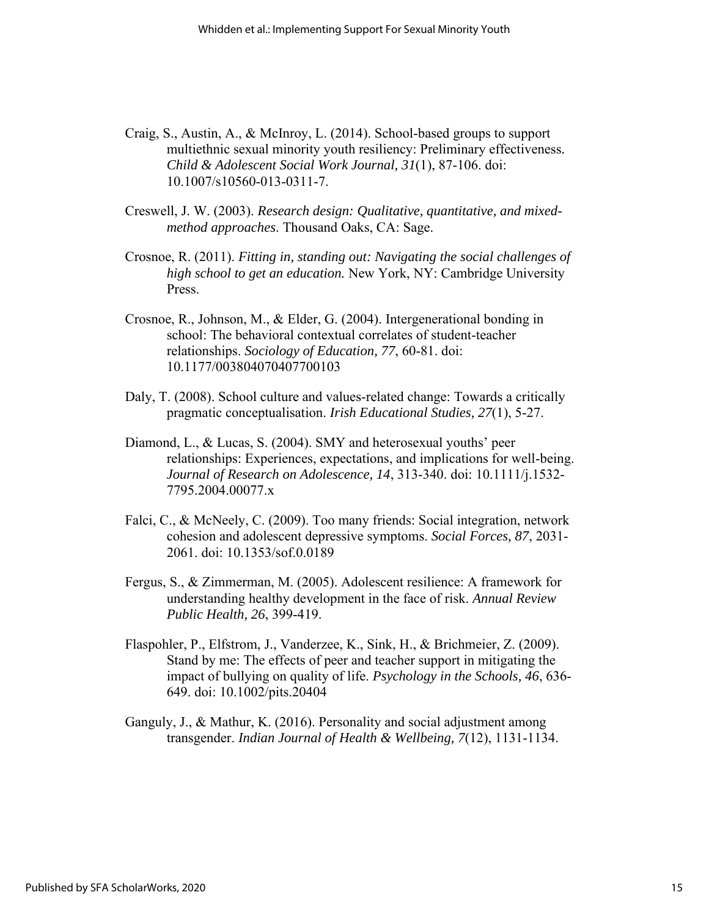- Craig, S., Austin, A., & McInroy, L. (2014). School-based groups to support multiethnic sexual minority youth resiliency: Preliminary effectiveness*. Child & Adolescent Social Work Journal, 31*(1), 87-106. doi: 10.1007/s10560-013-0311-7.
- Creswell, J. W. (2003). *Research design: Qualitative, quantitative, and mixedmethod approaches*. Thousand Oaks, CA: Sage.
- Crosnoe, R. (2011). *Fitting in, standing out: Navigating the social challenges of high school to get an education.* New York, NY: Cambridge University Press.
- Crosnoe, R., Johnson, M., & Elder, G. (2004). Intergenerational bonding in school: The behavioral contextual correlates of student-teacher relationships. *Sociology of Education, 77*, 60-81. doi: 10.1177/003804070407700103
- Daly, T. (2008). School culture and values-related change: Towards a critically pragmatic conceptualisation. *Irish Educational Studies, 27*(1), 5-27.
- Diamond, L., & Lucas, S. (2004). SMY and heterosexual youths' peer relationships: Experiences, expectations, and implications for well-being. *Journal of Research on Adolescence, 14*, 313-340. doi: 10.1111/j.1532- 7795.2004.00077.x
- Falci, C., & McNeely, C. (2009). Too many friends: Social integration, network cohesion and adolescent depressive symptoms. *Social Forces, 87*, 2031- 2061. doi: 10.1353/sof.0.0189
- Fergus, S., & Zimmerman, M. (2005). Adolescent resilience: A framework for understanding healthy development in the face of risk. *Annual Review Public Health, 26*, 399-419.
- Flaspohler, P., Elfstrom, J., Vanderzee, K., Sink, H., & Brichmeier, Z. (2009). Stand by me: The effects of peer and teacher support in mitigating the impact of bullying on quality of life. *Psychology in the Schools, 46*, 636- 649. doi: 10.1002/pits.20404
- Ganguly, J., & Mathur, K. (2016). Personality and social adjustment among transgender. *Indian Journal of Health & Wellbeing, 7*(12), 1131-1134.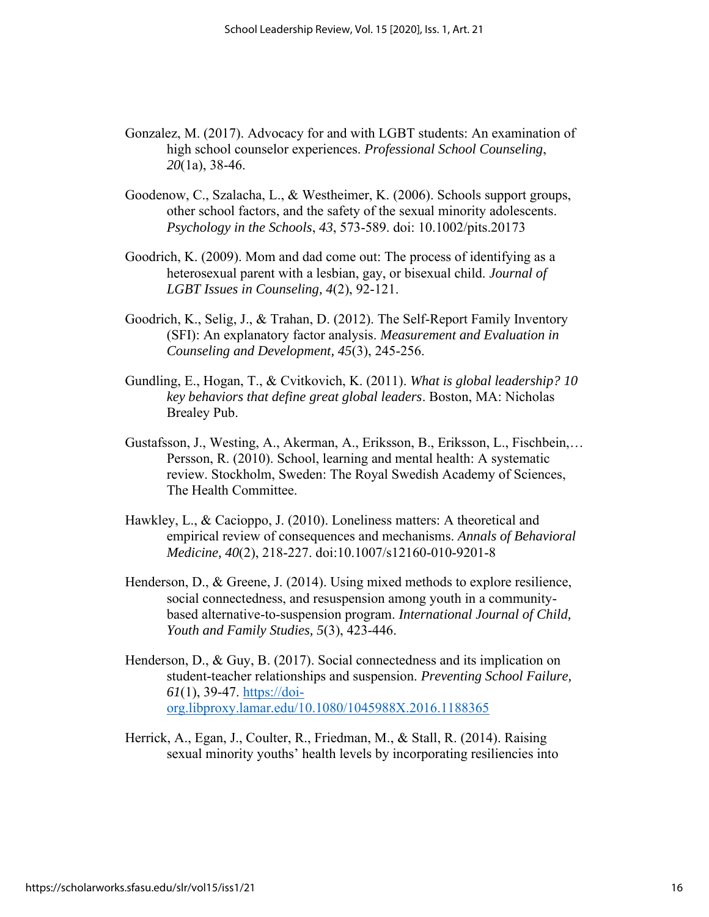- Gonzalez, M. (2017). Advocacy for and with LGBT students: An examination of high school counselor experiences. *Professional School Counseling*, *20*(1a), 38-46.
- Goodenow, C., Szalacha, L., & Westheimer, K. (2006). Schools support groups, other school factors, and the safety of the sexual minority adolescents. *Psychology in the Schools*, *43*, 573-589. doi: 10.1002/pits.20173
- Goodrich, K. (2009). Mom and dad come out: The process of identifying as a heterosexual parent with a lesbian, gay, or bisexual child. *Journal of LGBT Issues in Counseling, 4*(2), 92-121.
- Goodrich, K., Selig, J., & Trahan, D. (2012). The Self-Report Family Inventory (SFI): An explanatory factor analysis. *Measurement and Evaluation in Counseling and Development, 45*(3), 245-256.
- Gundling, E., Hogan, T., & Cvitkovich, K. (2011). *What is global leadership? 10 key behaviors that define great global leaders*. Boston, MA: Nicholas Brealey Pub.
- Gustafsson, J., Westing, A., Akerman, A., Eriksson, B., Eriksson, L., Fischbein,… Persson, R. (2010). School, learning and mental health: A systematic review. Stockholm, Sweden: The Royal Swedish Academy of Sciences, The Health Committee.
- Hawkley, L., & Cacioppo, J. (2010). Loneliness matters: A theoretical and empirical review of consequences and mechanisms. *Annals of Behavioral Medicine, 40*(2), 218-227. doi:10.1007/s12160-010-9201-8
- Henderson, D., & Greene, J. (2014). Using mixed methods to explore resilience, social connectedness, and resuspension among youth in a communitybased alternative-to-suspension program. *International Journal of Child, Youth and Family Studies, 5*(3), 423-446.
- Henderson, D., & Guy, B. (2017). Social connectedness and its implication on student-teacher relationships and suspension. *Preventing School Failure, 61*(1), 39-47. [https://doi](https://doi-org.libproxy.lamar.edu/10.1080/1045988X.2016.1188365)[org.libproxy.lamar.edu/10.1080/1045988X.2016.1188365](https://doi-org.libproxy.lamar.edu/10.1080/1045988X.2016.1188365)
- Herrick, A., Egan, J., Coulter, R., Friedman, M., & Stall, R. (2014). Raising sexual minority youths' health levels by incorporating resiliencies into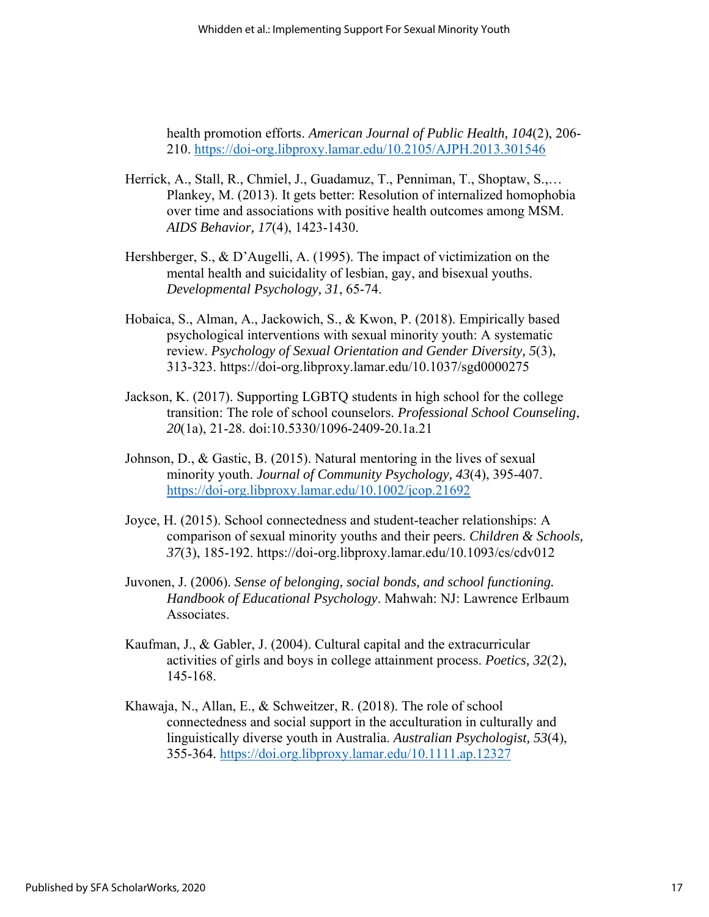health promotion efforts. *American Journal of Public Health, 104*(2), 206- 210. <https://doi-org.libproxy.lamar.edu/10.2105/AJPH.2013.301546>

- Herrick, A., Stall, R., Chmiel, J., Guadamuz, T., Penniman, T., Shoptaw, S.,… Plankey, M. (2013). It gets better: Resolution of internalized homophobia over time and associations with positive health outcomes among MSM. *AIDS Behavior, 17*(4), 1423-1430.
- Hershberger, S., & D'Augelli, A. (1995). The impact of victimization on the mental health and suicidality of lesbian, gay, and bisexual youths. *Developmental Psychology, 31*, 65-74.
- Hobaica, S., Alman, A., Jackowich, S., & Kwon, P. (2018). Empirically based psychological interventions with sexual minority youth: A systematic review. *Psychology of Sexual Orientation and Gender Diversity, 5*(3), 313-323. https://doi-org.libproxy.lamar.edu/10.1037/sgd0000275
- Jackson, K. (2017). Supporting LGBTQ students in high school for the college transition: The role of school counselors. *Professional School Counseling*, *20*(1a), 21-28. doi:10.5330/1096-2409-20.1a.21
- Johnson, D., & Gastic, B. (2015). Natural mentoring in the lives of sexual minority youth. *Journal of Community Psychology, 43*(4), 395-407. <https://doi-org.libproxy.lamar.edu/10.1002/jcop.21692>
- Joyce, H. (2015). School connectedness and student-teacher relationships: A comparison of sexual minority youths and their peers. *Children & Schools, 37*(3), 185-192. https://doi-org.libproxy.lamar.edu/10.1093/cs/cdv012
- Juvonen, J. (2006). *Sense of belonging, social bonds, and school functioning. Handbook of Educational Psychology*. Mahwah: NJ: Lawrence Erlbaum Associates.
- Kaufman, J., & Gabler, J. (2004). Cultural capital and the extracurricular activities of girls and boys in college attainment process. *Poetics, 32*(2), 145-168.
- Khawaja, N., Allan, E., & Schweitzer, R. (2018). The role of school connectedness and social support in the acculturation in culturally and linguistically diverse youth in Australia. *Australian Psychologist, 53*(4), 355-364. <https://doi.org.libproxy.lamar.edu/10.1111.ap.12327>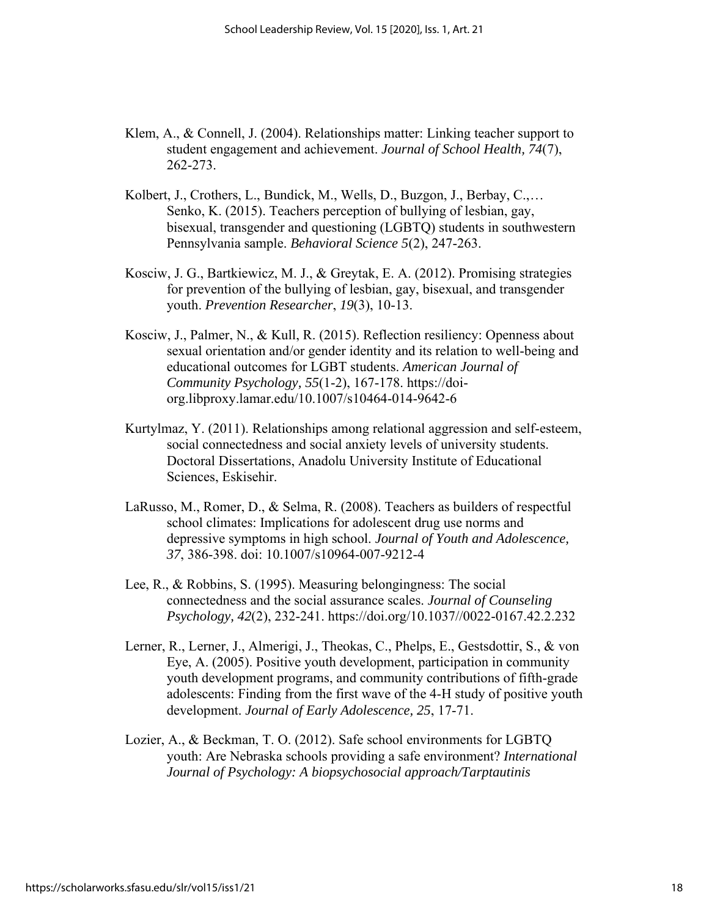- Klem, A., & Connell, J. (2004). Relationships matter: Linking teacher support to student engagement and achievement. *Journal of School Health, 74*(7), 262-273.
- Kolbert, J., Crothers, L., Bundick, M., Wells, D., Buzgon, J., Berbay, C.,… Senko, K. (2015). Teachers perception of bullying of lesbian, gay, bisexual, transgender and questioning (LGBTQ) students in southwestern Pennsylvania sample. *Behavioral Science 5*(2), 247-263.
- Kosciw, J. G., Bartkiewicz, M. J., & Greytak, E. A. (2012). Promising strategies for prevention of the bullying of lesbian, gay, bisexual, and transgender youth. *Prevention Researcher*, *19*(3), 10-13.
- Kosciw, J., Palmer, N., & Kull, R. (2015). Reflection resiliency: Openness about sexual orientation and/or gender identity and its relation to well-being and educational outcomes for LGBT students. *American Journal of Community Psychology, 55*(1-2), 167-178. https://doiorg.libproxy.lamar.edu/10.1007/s10464-014-9642-6
- Kurtylmaz, Y. (2011). Relationships among relational aggression and self-esteem, social connectedness and social anxiety levels of university students. Doctoral Dissertations, Anadolu University Institute of Educational Sciences, Eskisehir.
- LaRusso, M., Romer, D., & Selma, R. (2008). Teachers as builders of respectful school climates: Implications for adolescent drug use norms and depressive symptoms in high school. *Journal of Youth and Adolescence, 37*, 386-398. doi: 10.1007/s10964-007-9212-4
- Lee, R., & Robbins, S. (1995). Measuring belongingness: The social connectedness and the social assurance scales. *Journal of Counseling Psychology, 42*(2), 232-241. https://doi.org/10.1037//0022-0167.42.2.232
- Lerner, R., Lerner, J., Almerigi, J., Theokas, C., Phelps, E., Gestsdottir, S., & von Eye, A. (2005). Positive youth development, participation in community youth development programs, and community contributions of fifth-grade adolescents: Finding from the first wave of the 4-H study of positive youth development. *Journal of Early Adolescence, 25*, 17-71.
- Lozier, A., & Beckman, T. O. (2012). Safe school environments for LGBTQ youth: Are Nebraska schools providing a safe environment? *International Journal of Psychology: A biopsychosocial approach/Tarptautinis*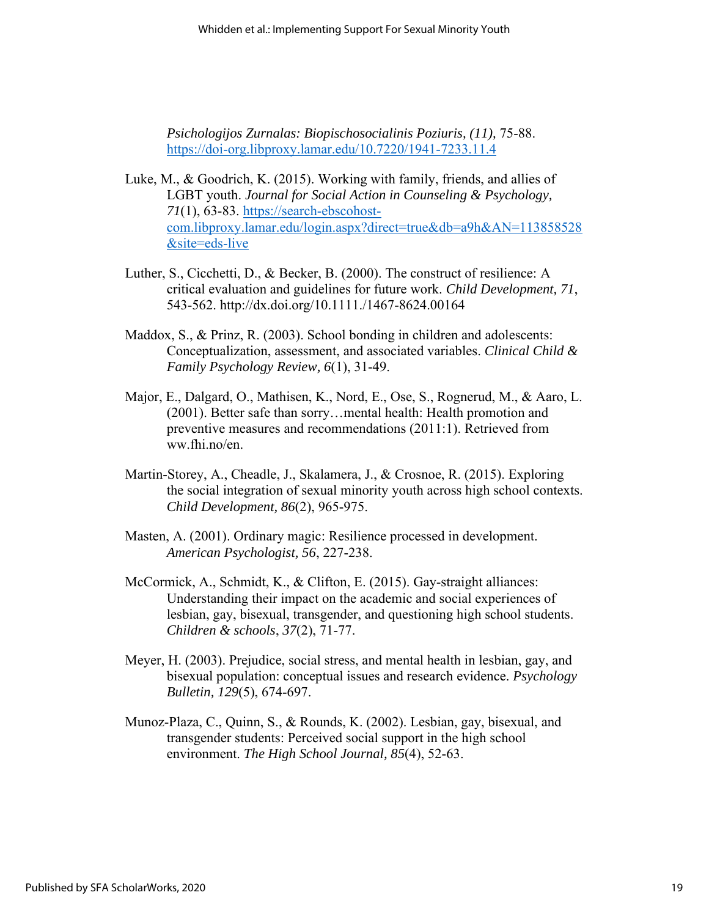*Psichologijos Zurnalas: Biopischosocialinis Poziuris, (11),* 75-88. <https://doi-org.libproxy.lamar.edu/10.7220/1941-7233.11.4>

- Luke, M., & Goodrich, K. (2015). Working with family, friends, and allies of LGBT youth. *Journal for Social Action in Counseling & Psychology, 71*(1), 63-83. [https://search-ebscohost](https://search-ebscohost-com.libproxy.lamar.edu/login.aspx?direct=true&db=a9h&AN=113858528&site=eds-live)[com.libproxy.lamar.edu/login.aspx?direct=true&db=a9h&AN=113858528](https://search-ebscohost-com.libproxy.lamar.edu/login.aspx?direct=true&db=a9h&AN=113858528&site=eds-live) [&site=eds-live](https://search-ebscohost-com.libproxy.lamar.edu/login.aspx?direct=true&db=a9h&AN=113858528&site=eds-live)
- Luther, S., Cicchetti, D., & Becker, B. (2000). The construct of resilience: A critical evaluation and guidelines for future work. *Child Development, 71*, 543-562. http://dx.doi.org/10.1111./1467-8624.00164
- Maddox, S., & Prinz, R. (2003). School bonding in children and adolescents: Conceptualization, assessment, and associated variables. *Clinical Child & Family Psychology Review, 6*(1), 31-49.
- Major, E., Dalgard, O., Mathisen, K., Nord, E., Ose, S., Rognerud, M., & Aaro, L. (2001). Better safe than sorry…mental health: Health promotion and preventive measures and recommendations (2011:1). Retrieved from ww.fhi.no/en.
- Martin-Storey, A., Cheadle, J., Skalamera, J., & Crosnoe, R. (2015). Exploring the social integration of sexual minority youth across high school contexts. *Child Development, 86*(2), 965-975.
- Masten, A. (2001). Ordinary magic: Resilience processed in development. *American Psychologist, 56*, 227-238.
- McCormick, A., Schmidt, K., & Clifton, E. (2015). Gay-straight alliances: Understanding their impact on the academic and social experiences of lesbian, gay, bisexual, transgender, and questioning high school students. *Children & schools*, *37*(2), 71-77.
- Meyer, H. (2003). Prejudice, social stress, and mental health in lesbian, gay, and bisexual population: conceptual issues and research evidence. *Psychology Bulletin, 129*(5), 674-697.
- Munoz-Plaza, C., Quinn, S., & Rounds, K. (2002). Lesbian, gay, bisexual, and transgender students: Perceived social support in the high school environment. *The High School Journal, 85*(4), 52-63.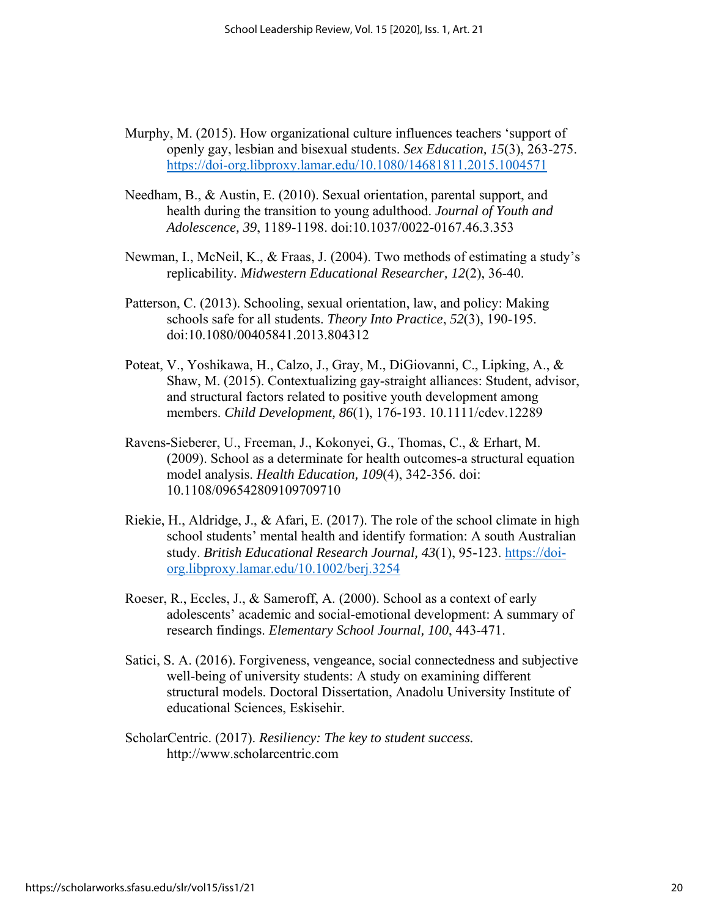- Murphy, M. (2015). How organizational culture influences teachers 'support of openly gay, lesbian and bisexual students. *Sex Education, 15*(3), 263-275. <https://doi-org.libproxy.lamar.edu/10.1080/14681811.2015.1004571>
- Needham, B., & Austin, E. (2010). Sexual orientation, parental support, and health during the transition to young adulthood. *Journal of Youth and Adolescence, 39*, 1189-1198. doi:10.1037/0022-0167.46.3.353
- Newman, I., McNeil, K., & Fraas, J. (2004). Two methods of estimating a study's replicability*. Midwestern Educational Researcher, 12*(2), 36-40.
- Patterson, C. (2013). Schooling, sexual orientation, law, and policy: Making schools safe for all students. *Theory Into Practice*, *52*(3), 190-195. doi:10.1080/00405841.2013.804312
- Poteat, V., Yoshikawa, H., Calzo, J., Gray, M., DiGiovanni, C., Lipking, A., & Shaw, M. (2015). Contextualizing gay-straight alliances: Student, advisor, and structural factors related to positive youth development among members. *Child Development, 86*(1), 176-193. 10.1111/cdev.12289
- Ravens-Sieberer, U., Freeman, J., Kokonyei, G., Thomas, C., & Erhart, M. (2009). School as a determinate for health outcomes-a structural equation model analysis. *Health Education, 109*(4), 342-356. doi: 10.1108/096542809109709710
- Riekie, H., Aldridge, J., & Afari, E. (2017). The role of the school climate in high school students' mental health and identify formation: A south Australian study. *British Educational Research Journal, 43*(1), 95-123. [https://doi](https://doi-org.libproxy.lamar.edu/10.1002/berj.3254)[org.libproxy.lamar.edu/10.1002/berj.3254](https://doi-org.libproxy.lamar.edu/10.1002/berj.3254)
- Roeser, R., Eccles, J., & Sameroff, A. (2000). School as a context of early adolescents' academic and social-emotional development: A summary of research findings. *Elementary School Journal, 100*, 443-471.
- Satici, S. A. (2016). Forgiveness, vengeance, social connectedness and subjective well-being of university students: A study on examining different structural models. Doctoral Dissertation, Anadolu University Institute of educational Sciences, Eskisehir.
- ScholarCentric. (2017). *Resiliency: The key to student success.* http://www.scholarcentric.com